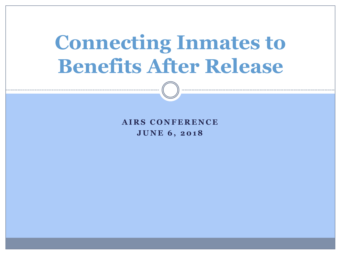# **Connecting Inmates to Benefits After Release**

**A I R S C O N F E R E N C E J U N E 6 , 2 0 1 8**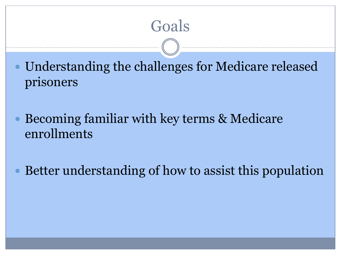

 Understanding the challenges for Medicare released prisoners

 Becoming familiar with key terms & Medicare enrollments

Better understanding of how to assist this population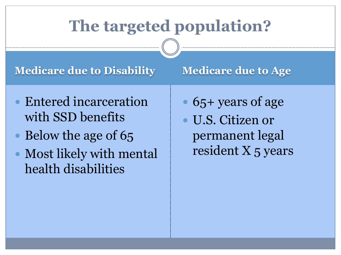# **The targeted population?**

#### **Medicare due to Disability Medicare due to Age**

- Entered incarceration with SSD benefits
- Below the age of 65
- Most likely with mental health disabilities

- 65+ years of age
- U.S. Citizen or permanent legal resident X 5 years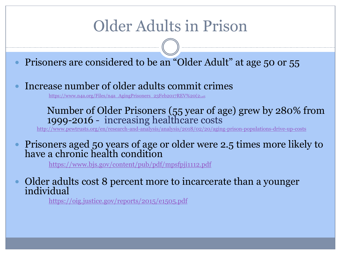# Older Adults in Prison

- Prisoners are considered to be an "Older Adult" at age 50 or 55
- Increase number of older adults commit crimes

[https://www.n4a.org/Files/n4a\\_AgingPrisoners\\_23Feb2017REV%20\(2](https://www.n4a.org/Files/n4a_AgingPrisoners_23Feb2017REV (2).pdf)[\).pdf](https://www.n4a.org/Files/n4a_AgingPrisoners_23Feb2017REV (2).pdf).

#### Number of Older Prisoners (55 year of age) grew by 280% from 1999-2016 - increasing healthcare costs

<http://www.pewtrusts.org/en/research-and-analysis/analysis/2018/02/20/aging-prison-populations-drive-up-costs>

 Prisoners aged 50 years of age or older were 2.5 times more likely to have a chronic health condition

<https://www.bjs.gov/content/pub/pdf/mpsfpji1112.pdf>

 Older adults cost 8 percent more to incarcerate than a younger individual

<https://oig.justice.gov/reports/2015/e1505.pdf>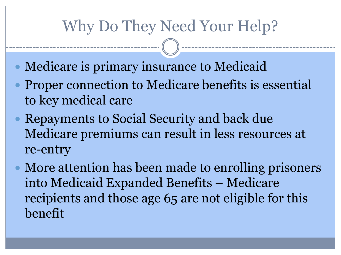# Why Do They Need Your Help?

- Medicare is primary insurance to Medicaid
- Proper connection to Medicare benefits is essential to key medical care
- Repayments to Social Security and back due Medicare premiums can result in less resources at re-entry
- More attention has been made to enrolling prisoners into Medicaid Expanded Benefits – Medicare recipients and those age 65 are not eligible for this benefit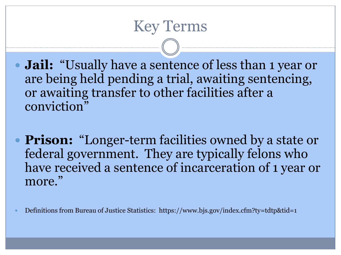## Key Terms

 **Jail:** "Usually have a sentence of less than 1 year or are being held pending a trial, awaiting sentencing, or awaiting transfer to other facilities after a conviction"

**Prison:** "Longer-term facilities owned by a state or federal government. They are typically felons who have received a sentence of incarceration of 1 year or more."

Definitions from Bureau of Justice Statistics: https://www.bjs.gov/index.cfm?ty=tdtp&tid=1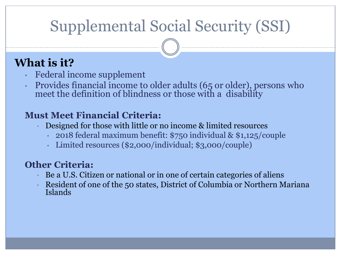# Supplemental Social Security (SSI)

#### **What is it?**

- Federal income supplement
- Provides financial income to older adults (65 or older), persons who meet the definition of blindness or those with a disability

#### **Must Meet Financial Criteria:**

- Designed for those with little or no income & limited resources
	- 2018 federal maximum benefit: \$750 individual & \$1,125/couple
	- Limited resources (\$2,000/individual; \$3,000/couple)

#### **Other Criteria:**

- Be a U.S. Citizen or national or in one of certain categories of aliens
- Resident of one of the 50 states, District of Columbia or Northern Mariana Islands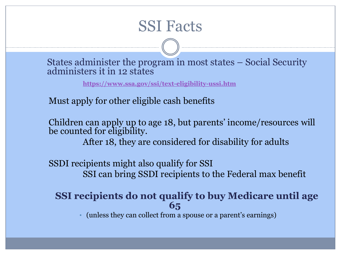

States administer the program in most states – Social Security administers it in 12 states

**<https://www.ssa.gov/ssi/text-eligibility-ussi.htm>**

Must apply for other eligible cash benefits

Children can apply up to age 18, but parents' income/resources will be counted for eligibility.

After 18, they are considered for disability for adults

SSDI recipients might also qualify for SSI SSI can bring SSDI recipients to the Federal max benefit

**SSI recipients do not qualify to buy Medicare until age 65** 

• (unless they can collect from a spouse or a parent's earnings)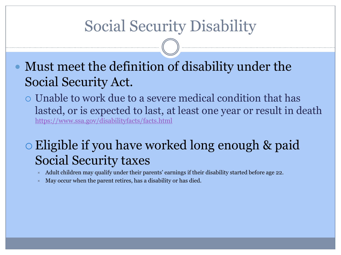# Social Security Disability

- Must meet the definition of disability under the Social Security Act.
	- Unable to work due to a severe medical condition that has lasted, or is expected to last, at least one year or result in death <https://www.ssa.gov/disabilityfacts/facts.html>

### Eligible if you have worked long enough & paid Social Security taxes

- Adult children may qualify under their parents' earnings if their disability started before age 22.
- May occur when the parent retires, has a disability or has died.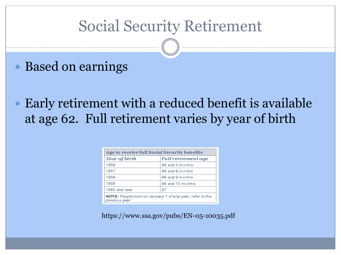## Social Security Retirement

- Based on earnings
- Early retirement with a reduced benefit is available at age 62. Full retirement varies by year of birth

| Age to receive full Social Security benefits                               |                            |
|----------------------------------------------------------------------------|----------------------------|
| Year of birth                                                              | <b>Full retirement age</b> |
| 1956                                                                       | 66 and 4 months            |
| 1957                                                                       | 66 and 6 months            |
| 1958                                                                       | 66 and 8 months            |
| 1959                                                                       | 66 and 10 months           |
| 1960 and later                                                             | 67                         |
| NOTE: People born on January 1 of any year, refer to the<br>previous year. |                            |

https://www.ssa.gov/pubs/EN-05-10035.pdf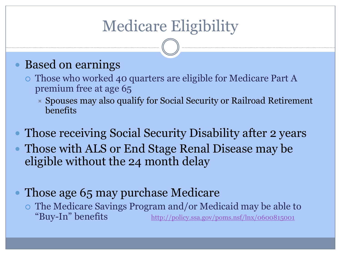# Medicare Eligibility

#### Based on earnings

- Those who worked 40 quarters are eligible for Medicare Part A premium free at age 65
	- $\triangleright$  Spouses may also qualify for Social Security or Railroad Retirement benefits
- Those receiving Social Security Disability after 2 years
- Those with ALS or End Stage Renal Disease may be eligible without the 24 month delay
- Those age 65 may purchase Medicare
	- The Medicare Savings Program and/or Medicaid may be able to "Buy-In" benefits <http://policy.ssa.gov/poms.nsf/lnx/0600815001>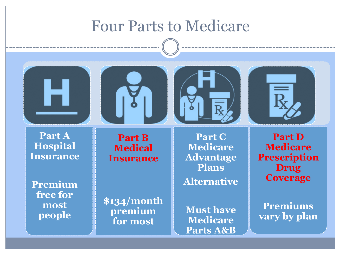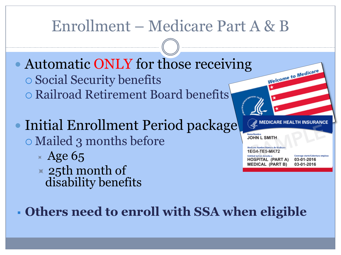# Enrollment – Medicare Part A & B

• Automatic ONLY for those receiving Social Security benefits Railroad Retirement Board benefits

 Initial Enrollment Period package Mailed 3 months before

- $\times$  Age 65
- $\times$  25th month of disability benefits

Welcome to Medicar

**JOHN L SMITH** 

Medicare Number/Número de Medicar 1EG4-TE5-MK72 Entitled to/Con derecho a **HOSPITAL (PART A) MEDICAL (PART B)** 

Coverage starts/Cobertura empieza 03-01-2016 03-01-2016

**Others need to enroll with SSA when eligible**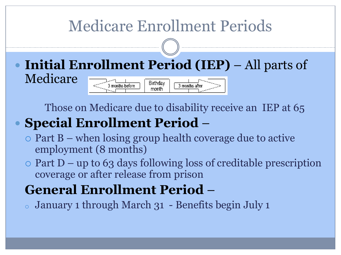# Medicare Enrollment Periods

 **Initial Enrollment Period (IEP)** – All parts of Medicare Birthdav 3 months aftmonth

Those on Medicare due to disability receive an IEP at 65

## **Special Enrollment Period** –

- $\circ$  Part B when losing group health coverage due to active employment (8 months)
- $\circ$  Part D up to 63 days following loss of creditable prescription coverage or after release from prison

### **General Enrollment Period** –

 $\circ$  January 1 through March 31 - Benefits begin July 1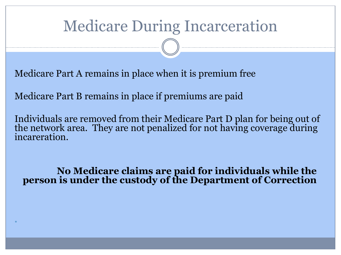# Medicare During Incarceration

Medicare Part A remains in place when it is premium free

Medicare Part B remains in place if premiums are paid

 $\bullet$ 

Individuals are removed from their Medicare Part D plan for being out of the network area. They are not penalized for not having coverage during incareration.

**No Medicare claims are paid for individuals while the person is under the custody of the Department of Correction**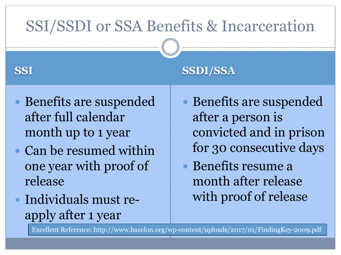# SSI/SSDI or SSA Benefits & Incarceration

- Benefits are suspended after full calendar month up to 1 year
- Can be resumed within one year with proof of release
- Individuals must reapply after 1 year

#### **SSI SSDI/SSA**

- Benefits are suspended after a person is convicted and in prison for 30 consecutive days
- Benefits resume a month after release with proof of release

Excellent Reference: http://www.bazelon.org/wp-content/uploads/2017/01/FindingKey-2009.pdf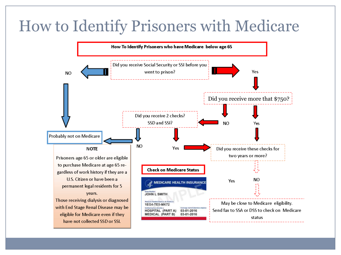# How to Identify Prisoners with Medicare

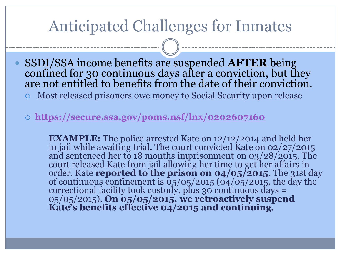## Anticipated Challenges for Inmates

- SSDI/SSA income benefits are suspended **AFTER** being confined for 30 continuous days after a conviction, but they are not entitled to benefits from the date of their conviction.
	- Most released prisoners owe money to Social Security upon release
	- **<https://secure.ssa.gov/poms.nsf/lnx/0202607160>**

**EXAMPLE:** The police arrested Kate on 12/12/2014 and held her in jail while awaiting trial. The court convicted Kate on 02/27/2015 and sentenced her to 18 months imprisonment on 03/28/2015. The court released Kate from jail allowing her time to get her affairs in order. Kate **reported to the prison on 04/05/2015**. The 31st day of continuous confinement is  $\frac{65}{05}/\frac{2015}{\frac{104}{05}}$  (04/05/2015, the day the correctional facility took custody, plus 30 continuous days = 05/05/2015). **On 05/05/2015, we retroactively suspend Kate's benefits effective 04/2015 and continuing.**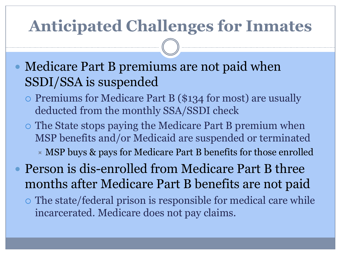# **Anticipated Challenges for Inmates**

- Medicare Part B premiums are not paid when SSDI/SSA is suspended
	- o Premiums for Medicare Part B (\$134 for most) are usually deducted from the monthly SSA/SSDI check
	- The State stops paying the Medicare Part B premium when MSP benefits and/or Medicaid are suspended or terminated  $\times$  MSP buys & pays for Medicare Part B benefits for those enrolled
- Person is dis-enrolled from Medicare Part B three months after Medicare Part B benefits are not paid
	- The state/federal prison is responsible for medical care while incarcerated. Medicare does not pay claims.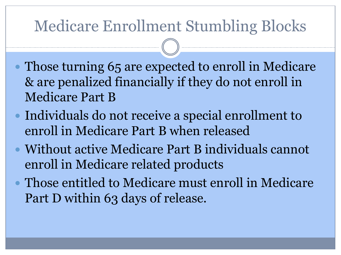# Medicare Enrollment Stumbling Blocks

- Those turning 65 are expected to enroll in Medicare & are penalized financially if they do not enroll in Medicare Part B
- Individuals do not receive a special enrollment to enroll in Medicare Part B when released
- Without active Medicare Part B individuals cannot enroll in Medicare related products
- Those entitled to Medicare must enroll in Medicare Part D within 63 days of release.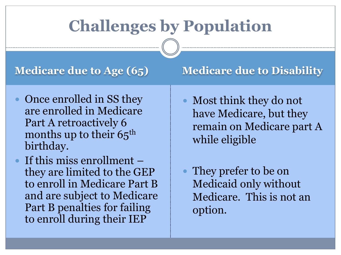# **Challenges by Population**

- Once enrolled in SS they are enrolled in Medicare Part A retroactively 6 months up to their  $65<sup>th</sup>$ birthday.
- If this miss enrollment they are limited to the GEP to enroll in Medicare Part B and are subject to Medicare Part B penalties for failing to enroll during their IEP

#### **Medicare due to Age (65) Medicare due to Disability**

- Most think they do not have Medicare, but they remain on Medicare part A while eligible
- They prefer to be on Medicaid only without Medicare. This is not an option.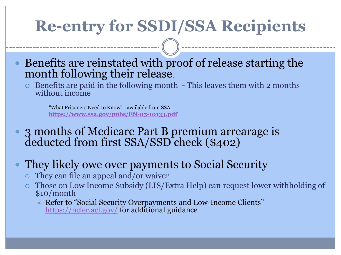# **Re-entry for SSDI/SSA Recipients**

- Benefits are reinstated with proof of release starting the month following their release.
	- $\circ$  Benefits are paid in the following month This leaves them with 2 months without income

"What Prisoners Need to Know" - available from SSA **<https://www.ssa.gov/pubs/EN-05-10133.pdf>**

- 3 months of Medicare Part B premium arrearage is deducted from first SSA/SSD check (\$402)
- They likely owe over payments to Social Security
	- $\circ$  They can file an appeal and/or waiver
	- Those on Low Income Subsidy (LIS/Extra Help) can request lower withholding of \$10/month
		- Refer to "Social Security Overpayments and Low-Income Clients" <https://ncler.acl.gov/> for additional guidance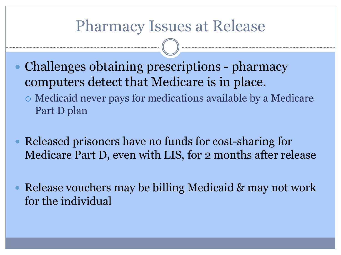## Pharmacy Issues at Release

- Challenges obtaining prescriptions pharmacy computers detect that Medicare is in place.
	- Medicaid never pays for medications available by a Medicare Part D plan
- Released prisoners have no funds for cost-sharing for Medicare Part D, even with LIS, for 2 months after release
- Release vouchers may be billing Medicaid & may not work for the individual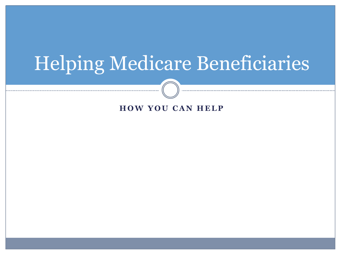# Helping Medicare Beneficiaries

#### **HOW YOU CAN HELP**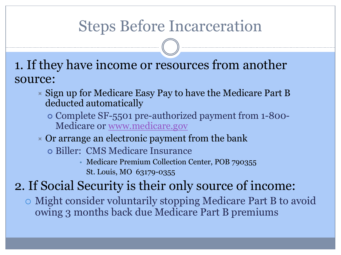# Steps Before Incarceration

1. If they have income or resources from another source:

- $\times$  Sign up for Medicare Easy Pay to have the Medicare Part B deducted automatically
	- Complete SF-5501 pre-authorized payment from 1-800- Medicare or [www.medicare.gov](http://www.medicare.gov/)
- $\triangleright$  Or arrange an electronic payment from the bank
	- Biller: CMS Medicare Insurance
		- Medicare Premium Collection Center, POB 790355 St. Louis, MO 63179-0355

### 2. If Social Security is their only source of income:

 Might consider voluntarily stopping Medicare Part B to avoid owing 3 months back due Medicare Part B premiums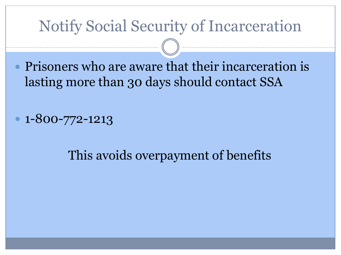# Notify Social Security of Incarceration

 Prisoners who are aware that their incarceration is lasting more than 30 days should contact SSA

 $\cdot$  1-800-772-1213

### This avoids overpayment of benefits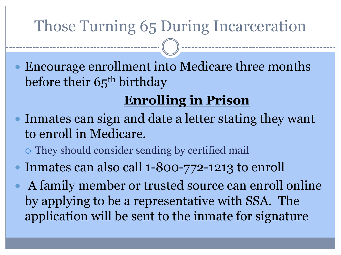# Those Turning 65 During Incarceration

 Encourage enrollment into Medicare three months before their 65<sup>th</sup> birthday

# **Enrolling in Prison**

- Inmates can sign and date a letter stating they want to enroll in Medicare.
	- They should consider sending by certified mail
- Inmates can also call 1-800-772-1213 to enroll
	- A family member or trusted source can enroll online by applying to be a representative with SSA. The application will be sent to the inmate for signature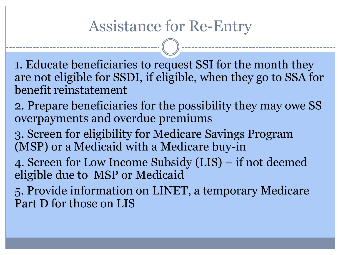# Assistance for Re-Entry

1. Educate beneficiaries to request SSI for the month they are not eligible for SSDI, if eligible, when they go to SSA for benefit reinstatement

- 2. Prepare beneficiaries for the possibility they may owe SS overpayments and overdue premiums
- 3. Screen for eligibility for Medicare Savings Program (MSP) or a Medicaid with a Medicare buy-in
- 4. Screen for Low Income Subsidy (LIS) if not deemed eligible due to MSP or Medicaid
- 5. Provide information on LINET, a temporary Medicare Part D for those on LIS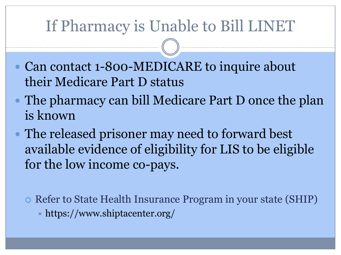# If Pharmacy is Unable to Bill LINET

- Can contact 1-800-MEDICARE to inquire about their Medicare Part D status
- The pharmacy can bill Medicare Part D once the plan is known
- The released prisoner may need to forward best available evidence of eligibility for LIS to be eligible for the low income co-pays.

o Refer to State Health Insurance Program in your state (SHIP)  $\times$  https://www.shiptacenter.org/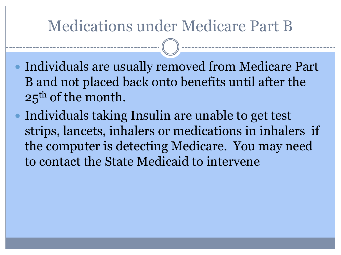# Medications under Medicare Part B

- Individuals are usually removed from Medicare Part B and not placed back onto benefits until after the 25<sup>th</sup> of the month.
- Individuals taking Insulin are unable to get test strips, lancets, inhalers or medications in inhalers if the computer is detecting Medicare. You may need to contact the State Medicaid to intervene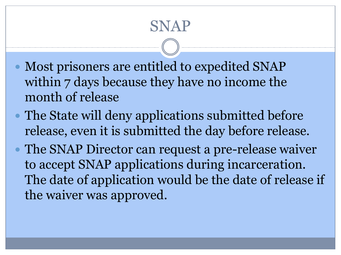# SNAP

- Most prisoners are entitled to expedited SNAP within 7 days because they have no income the month of release
- The State will deny applications submitted before release, even it is submitted the day before release.
- The SNAP Director can request a pre-release waiver to accept SNAP applications during incarceration. The date of application would be the date of release if the waiver was approved.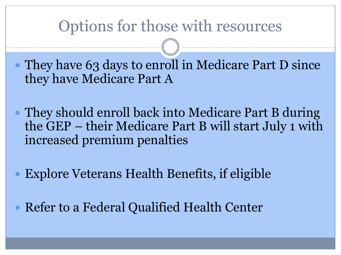## Options for those with resources

 They have 63 days to enroll in Medicare Part D since they have Medicare Part A

 They should enroll back into Medicare Part B during the GEP – their Medicare Part B will start July 1 with increased premium penalties

Explore Veterans Health Benefits, if eligible

Refer to a Federal Qualified Health Center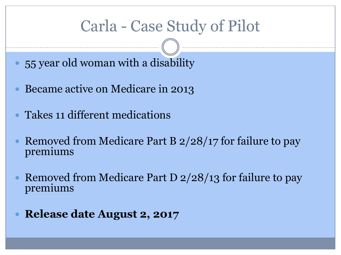# Carla - Case Study of Pilot

- 55 year old woman with a disability
- Became active on Medicare in 2013
- Takes 11 different medications
- Removed from Medicare Part B 2/28/17 for failure to pay premiums
- Removed from Medicare Part D 2/28/13 for failure to pay premiums
- **Release date August 2, 2017**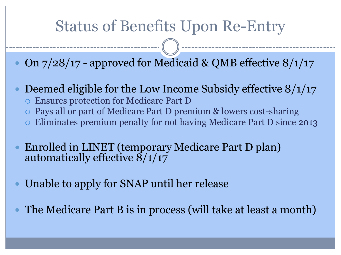# Status of Benefits Upon Re-Entry

On 7/28/17 - approved for Medicaid & QMB effective 8/1/17

- Deemed eligible for the Low Income Subsidy effective  $8/1/17$ 
	- Ensures protection for Medicare Part D
	- Pays all or part of Medicare Part D premium & lowers cost-sharing
	- Eliminates premium penalty for not having Medicare Part D since 2013
- Enrolled in LINET (temporary Medicare Part D plan) automatically effective  $8/1/17$
- Unable to apply for SNAP until her release
- The Medicare Part B is in process (will take at least a month)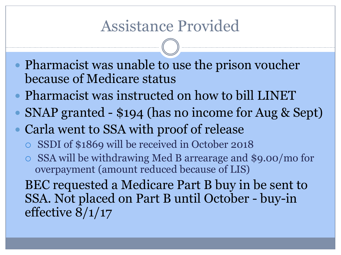## Assistance Provided

- Pharmacist was unable to use the prison voucher because of Medicare status
- Pharmacist was instructed on how to bill LINET
- SNAP granted \$194 (has no income for Aug & Sept)
- Carla went to SSA with proof of release
	- SSDI of \$1869 will be received in October 2018
	- SSA will be withdrawing Med B arrearage and \$9.00/mo for overpayment (amount reduced because of LIS)
	- BEC requested a Medicare Part B buy in be sent to SSA. Not placed on Part B until October - buy-in effective 8/1/17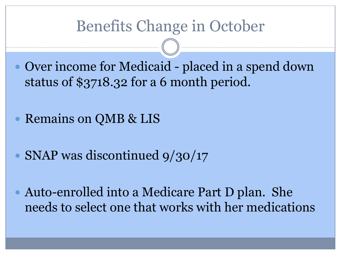## Benefits Change in October

 Over income for Medicaid - placed in a spend down status of \$3718.32 for a 6 month period.

Remains on QMB & LIS

• SNAP was discontinued 9/30/17

 Auto-enrolled into a Medicare Part D plan. She needs to select one that works with her medications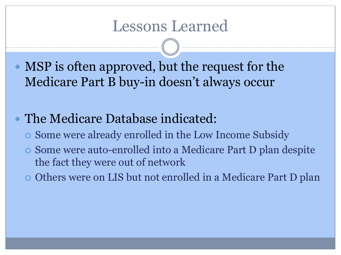## Lessons Learned

 MSP is often approved, but the request for the Medicare Part B buy-in doesn't always occur

#### The Medicare Database indicated:

- Some were already enrolled in the Low Income Subsidy
- Some were auto-enrolled into a Medicare Part D plan despite the fact they were out of network
- Others were on LIS but not enrolled in a Medicare Part D plan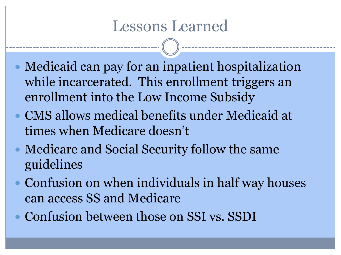## Lessons Learned

- Medicaid can pay for an inpatient hospitalization while incarcerated. This enrollment triggers an enrollment into the Low Income Subsidy
- CMS allows medical benefits under Medicaid at times when Medicare doesn't
- Medicare and Social Security follow the same guidelines
- Confusion on when individuals in half way houses can access SS and Medicare
- Confusion between those on SSI vs. SSDI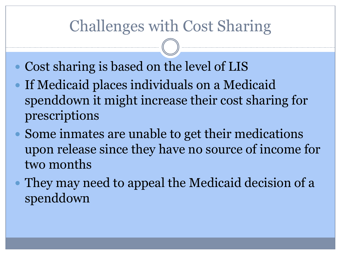# Challenges with Cost Sharing

- Cost sharing is based on the level of LIS
- If Medicaid places individuals on a Medicaid spenddown it might increase their cost sharing for prescriptions
- Some inmates are unable to get their medications upon release since they have no source of income for two months
- They may need to appeal the Medicaid decision of a spenddown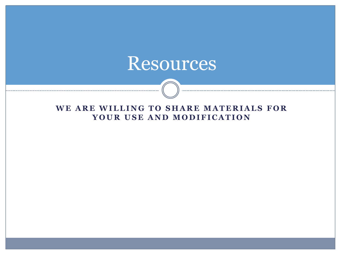# Resources

#### WE ARE WILLING TO SHARE MATERIALS FOR YOUR USE AND MODIFICATION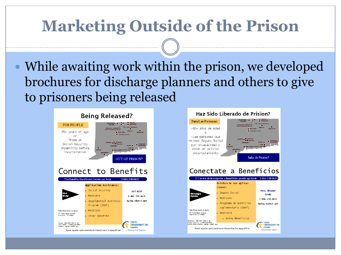# **Marketing Outside of the Prison**

 While awaiting work within the prison, we developed brochures for discharge planners and others to give to prisoners being released



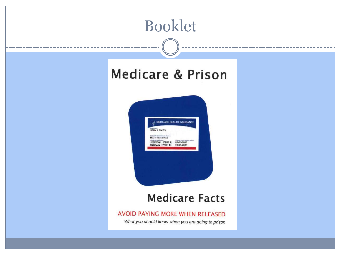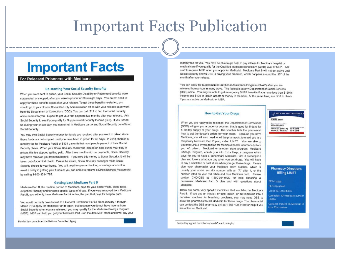### Important Facts Publication

#### **Important Facts**

#### For Released Prisoners with Medicare

#### **Re-starting Your Social Security Benefits**

When you were sent to prison, your Social Security Disability or Retirement benefits were suspended, or stopped, after you were in prison for 30 straight days. You do not need to apply for these benefits again after your release. To get these benefits re-started, you should go to your closest Social Security Administration office with your release paperwork from the Department of Corrections (DOC). You can call 211 to find the Social Security office nearest to you. Expect to get your first payment two months after your release. Ask Social Security to see if you qualify for Supplemental Security Income (SSI). If you turned 65 during your prison stay, you can enroll in Medicare part A and Social Security benefits at Social Security.

You may owe Social Security money for funds you received after you went to prison since these funds are not stopped until you have been in prison for 30 days. In 2018, there is a monthly fee for Medicare Part B of \$134 a month that most people pay out of their Social Security check. When your Social Security check was placed on hold during your stay in prison, this fee stopped getting paid. After three months with no payments, Social Security may have removed you from this benefit. If you owe this money to Social Security, it will be taken out of your first check. Please be aware, Social Security no longer mails Social Security checks to your home. You will need to open a checking or savings account to avoid a delay in getting your funds or you can enroll to receive a Direct Express Mastercard by calling 1-800-333-1795.

#### **Getting back Medicare Part B**

Medicare Part B, the medical portion of Medicare, pays for your doctor visits, blood tests, outpatient therapy and for some special types of drugs. If you were removed from Medicare Part B, you will only have Medicare Part A active, the part that pays for hospital care.

You would normally have to wait to a General Enrollment Period from January 1 through March 31 to apply for Medicare Part B again, but because you do not have income from Social Security when you are released, you may qualify for the Medicare Savings Program (MSP). MSP can help you get your Medicare Part B on the date MSP starts and it will pay your

Funded by a grant from the National Council on Aging

monthly fee for you. You may be able to get help to pay all fees for Medicare hospital or medical care if you qualify for the Qualified Medicare Beneficiary (QMB) level of MSP. Ask staff to request MSP when you apply for Medicaid. Medicare Part B will not get active until Social Security knows DSS is paying your premium, which happens around the 25<sup>th</sup> of the month after your release.

You can apply for Supplemental Nutritional Assistance Program (SNAP) after you are released from prison in many ways. The fastest is at any Department of Social Services (DSS) office. You may be able to get emergency SNAP benefits if you have less than \$150 in income and \$100 or less in assets or money in the bank. At the same time, ask DSS to check if you are active on Medicaid or MSP.

MEDICARE HEALTH INSURANCE

HOSPITAL (PART A) 03-01-2016<br>MEDICAL PART B) 03-01-2016

**Pharmacy Directions** 

**Billing LINET** 

Cardholder ID-Medicare number

Optional: Patient ID=Medicaid cl

BIN=015599

+ letter

PCN=05440000

Group ID=Leave blank

id or SSN number

**JOHN L SMITH** 

**1EG4-TES-MK72** 

#### **How to Get Your Drugs**

When you are ready to be released, the Department of Corrections (DOC) will give you a paper or voucher, that is good for 5 days for a 30-day supply of your drugs. The youcher tells the pharmacist how to get the doctor's orders for your drugs. Because you have Medicare, you will also need to tell the pharmacist to enroll you in a temporary Medicare Part D plan, called LINET. You are able to get onto LINET If you applied for Medicaid health insurance before you left prison. Medicaid or another state program. Medicare Savings Program, enrolls you into Extra Help, a program which pays for you to have a benchmark Medicare Part D prescription plan and lowers what you pay when you get drugs. You will have to pay a small fee or cost share when you get these drugs. Please give your pharmacist your Medicare claim number, which is usually your social security number with an "A" after it, or the number listed on your red, white and blue Medicare card. Please contact CHOICES at 1-800-994-9422 for help choosing a permanent Medicare Part D plan and with questions about Medicare.

There are some very specific medicines that are billed to Medicare Part B. If you use an inhaler, or take Insulin, or put medicine into a nebulizer machine for breathing problems, you may need DSS to allow the pharmacist to bill Medicaid for these drugs. The pharmacist can contact the DSS pharmacy unit at 1-866-409-8430 for help if you are active on Medicaid.

Funded by a grant from the National Council on Aging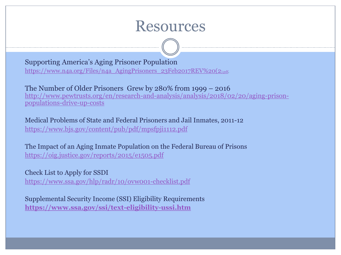### **Resources**

Supporting America's Aging Prisoner Population

[https://www.n4a.org/Files/n4a\\_AgingPrisoners\\_23Feb2017REV%20\(2](https://www.n4a.org/Files/n4a_AgingPrisoners_23Feb2017REV (2).pdf)[\).pdf.](https://www.n4a.org/Files/n4a_AgingPrisoners_23Feb2017REV (2).pdf)

The Number of Older Prisoners Grew by 280% from 1999 – 2016 [http://www.pewtrusts.org/en/research-and-analysis/analysis/2018/02/20/aging-prison](http://www.pewtrusts.org/en/research-and-analysis/analysis/2018/02/20/aging-prison-populations-drive-up-costs)[populations-drive-up-costs](http://www.pewtrusts.org/en/research-and-analysis/analysis/2018/02/20/aging-prison-populations-drive-up-costs)

Medical Problems of State and Federal Prisoners and Jail Inmates, 2011-12 <https://www.bjs.gov/content/pub/pdf/mpsfpji1112.pdf>

The Impact of an Aging Inmate Population on the Federal Bureau of Prisons <https://oig.justice.gov/reports/2015/e1505.pdf>

Check List to Apply for SSDI <https://www.ssa.gov/hlp/radr/10/ovw001-checklist.pdf>

Supplemental Security Income (SSI) Eligibility Requirements **<https://www.ssa.gov/ssi/text-eligibility-ussi.htm>**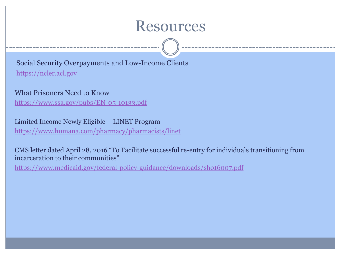### **Resources**

Social Security Overpayments and Low-Income Clients [https://ncler.acl.gov](https://ncler.acl.gov/)

#### What Prisoners Need to Know

<https://www.ssa.gov/pubs/EN-05-10133.pdf>

Limited Income Newly Eligible – LINET Program <https://www.humana.com/pharmacy/pharmacists/linet>

CMS letter dated April 28, 2016 "To Facilitate successful re-entry for individuals transitioning from incarceration to their communities"

<https://www.medicaid.gov/federal-policy-guidance/downloads/sho16007.pdf>